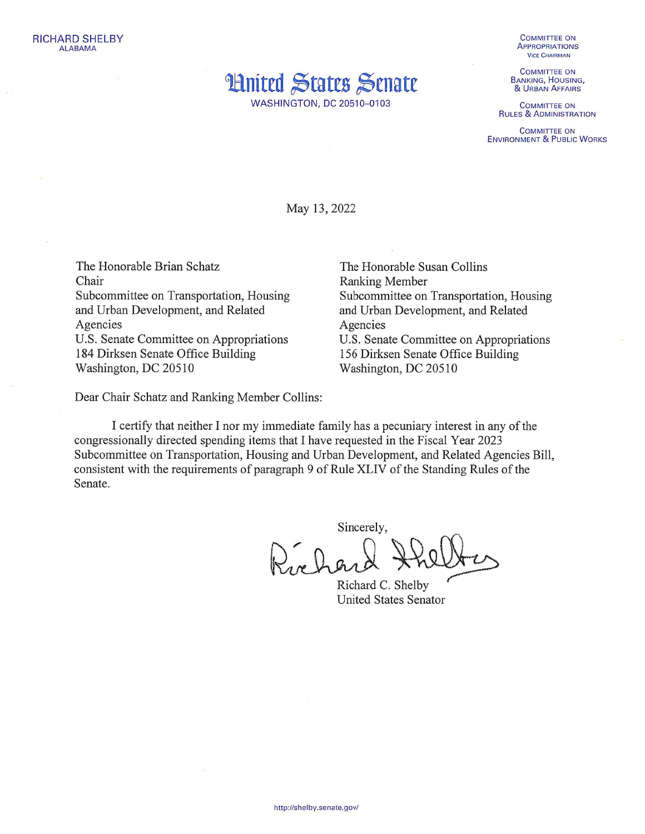

**WASHINGTON, DC 20510-0103** 

**COMMITTEE ON APPROPRIATIONS VICE CHAIRMAN** 

**COMMITTEE ON BANKING, HOUSING,** & URBAN AFFAIRS

**COMMITTEE ON RULES & ADMINISTRATION** 

**COMMITTEE ON ENVIRONMENT & PUBLIC WORKS** 

May 13, 2022

The Honorable Brian Schatz Chair Subcommittee on Transportation, Housing and Urban Development, and Related Agencies U.S. Senate Committee on Appropriations 184 Dirksen Senate Office Building Washington, DC 20510

Dear Chair Schatz and Ranking Member Collins:

The Honorable Susan Collins **Ranking Member** Subcommittee on Transportation, Housing and Urban Development, and Related Agencies U.S. Senate Committee on Appropriations 156 Dirksen Senate Office Building Washington, DC 20510

I certify that neither I nor my immediate family has a pecuniary interest in any of the congressionally directed spending items that I have requested in the Fiscal Year 2023 Subcommittee on Transportation, Housing and Urban Development, and Related Agencies Bill, consistent with the requirements of paragraph 9 of Rule XLIV of the Standing Rules of the Senate.

Sincerely,

ar har

Richard C. Shelby **United States Senator**